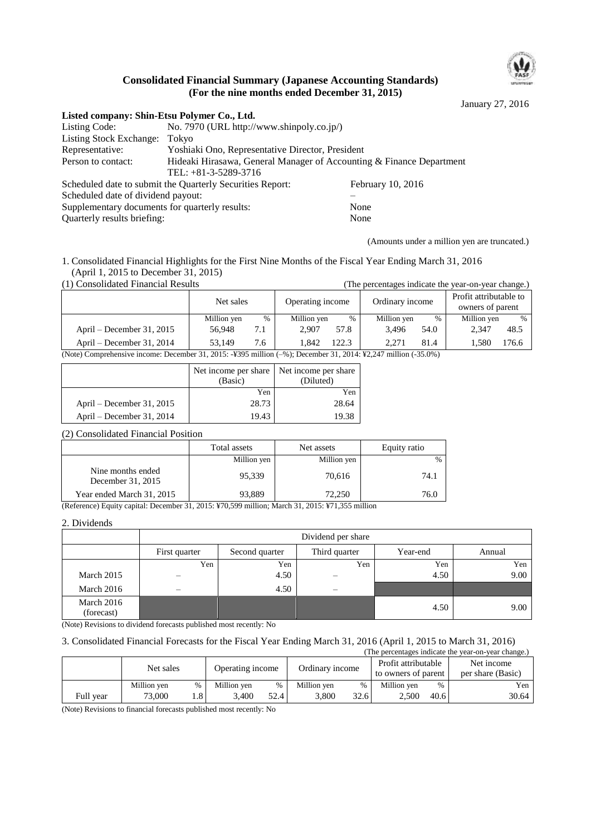

#### **Consolidated Financial Summary (Japanese Accounting Standards) (For the nine months ended December 31, 2015)**

January 27, 2016

| Listed company: Shin-Etsu Polymer Co., Ltd.            |                                                                      |                   |  |  |  |  |
|--------------------------------------------------------|----------------------------------------------------------------------|-------------------|--|--|--|--|
| Listing Code:                                          | No. 7970 (URL http://www.shinpoly.co.jp/)                            |                   |  |  |  |  |
| <b>Listing Stock Exchange:</b>                         | Tokyo                                                                |                   |  |  |  |  |
| Representative:                                        | Yoshiaki Ono, Representative Director, President                     |                   |  |  |  |  |
| Person to contact:                                     | Hideaki Hirasawa, General Manager of Accounting & Finance Department |                   |  |  |  |  |
|                                                        | TEL: $+81-3-5289-3716$                                               |                   |  |  |  |  |
|                                                        | Scheduled date to submit the Quarterly Securities Report:            | February 10, 2016 |  |  |  |  |
| Scheduled date of dividend payout:                     |                                                                      |                   |  |  |  |  |
| Supplementary documents for quarterly results:<br>None |                                                                      |                   |  |  |  |  |
| Quarterly results briefing:                            |                                                                      | None              |  |  |  |  |

(Amounts under a million yen are truncated.)

1. Consolidated Financial Highlights for the First Nine Months of the Fiscal Year Ending March 31, 2016 (April 1, 2015 to December 31, 2015)

Net sales Operating income Ordinary income Profit attributable to owners of parent Million yen % Million yen % Million yen % Million yen % Million yen % 6,948 7.1 2,907 57.8 3,496 54.0 2,347 48.5 April – December 31, 2015 | 56,948 7.1 | 2,907 57.8 | 3,496 54.0 | 2,347 48.5 April – December 31, 2014 | 53,149 7.6 | 1,842 122.3 | 2,271 81.4 | 1,580 176.6 (Note) Comprehensive income: December 31, 2015: -¥395 million (–%); December 31, 2014: ¥2,247 million (-35.0%)

|                           | (Basic) | Net income per share Net income per share<br>(Diluted) |
|---------------------------|---------|--------------------------------------------------------|
|                           | Yen     | Yen                                                    |
| April – December 31, 2015 | 28.73   | 28.64                                                  |
| April – December 31, 2014 | 19.43   | 19.38                                                  |

(2) Consolidated Financial Position

|                                        | Total assets | Net assets  | Equity ratio |
|----------------------------------------|--------------|-------------|--------------|
|                                        | Million yen  | Million yen | $\%$         |
| Nine months ended<br>December 31, 2015 | 95.339       | 70.616      | 74.1         |
| Year ended March 31, 2015              | 93.889       | 72,250      | 76.0         |

(Reference) Equity capital: December 31, 2015: ¥70,599 million; March 31, 2015: ¥71,355 million

2. Dividends

|                          | Dividend per share |                |                 |        |      |  |  |  |  |
|--------------------------|--------------------|----------------|-----------------|--------|------|--|--|--|--|
|                          | First quarter      | Second quarter | Year-end        | Annual |      |  |  |  |  |
|                          | Yen                | Yen            | Yen             | Yen    | Yen  |  |  |  |  |
| March 2015               |                    | 4.50           | —               | 4.50   | 9.00 |  |  |  |  |
| March 2016               | —                  | 4.50           | $\qquad \qquad$ |        |      |  |  |  |  |
| March 2016<br>(forecast) |                    |                |                 | 4.50   | 9.00 |  |  |  |  |

(Note) Revisions to dividend forecasts published most recently: No

#### 3. Consolidated Financial Forecasts for the Fiscal Year Ending March 31, 2016 (April 1, 2015 to March 31, 2016)

|           | (The percentages indicate the year-on-year change.) |                  |             |                 |             |                                            |             |                                 |       |
|-----------|-----------------------------------------------------|------------------|-------------|-----------------|-------------|--------------------------------------------|-------------|---------------------------------|-------|
|           | Net sales                                           | Operating income |             | Ordinary income |             | Profit attributable<br>to owners of parent |             | Net income<br>per share (Basic) |       |
|           | Million ven                                         | $\%$             | Million ven | %               | Million ven | %                                          | Million ven | $\%$                            | Yen   |
| Full vear | 73,000                                              | ا 8.،            | 3.400       | 52.4            | 3.800       | 32.6                                       | 2.500       | 40.6                            | 30.64 |

(Note) Revisions to financial forecasts published most recently: No

(1) Consolidated Financial Results (The percentages indicate the year-on-year change.)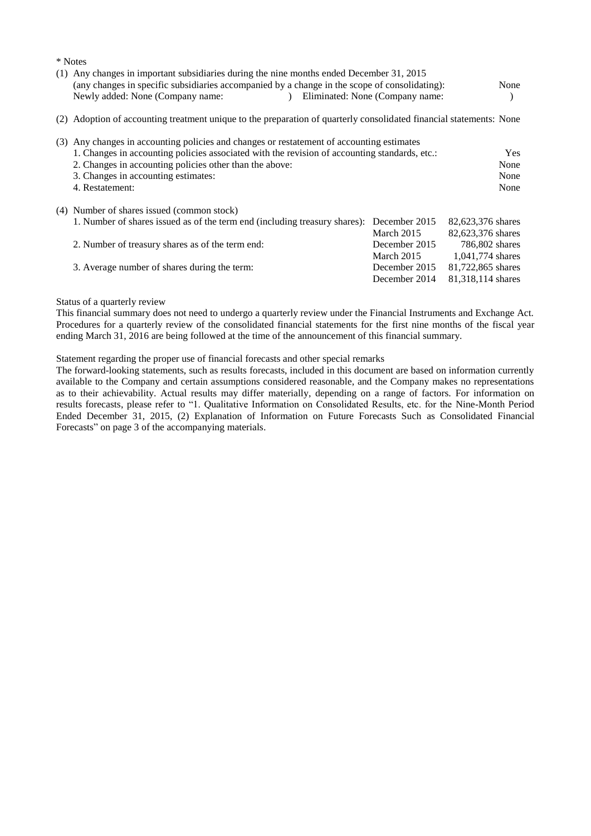| * Notes |                                                                                                                                                                                                                                                                                                             |                                              |                                                                              |
|---------|-------------------------------------------------------------------------------------------------------------------------------------------------------------------------------------------------------------------------------------------------------------------------------------------------------------|----------------------------------------------|------------------------------------------------------------------------------|
| (1)     | Any changes in important subsidiaries during the nine months ended December 31, 2015<br>(any changes in specific subsidiaries accompanied by a change in the scope of consolidating):<br>Newly added: None (Company name:                                                                                   | Eliminated: None (Company name:              | None                                                                         |
|         | (2) Adoption of accounting treatment unique to the preparation of quarterly consolidated financial statements: None                                                                                                                                                                                         |                                              |                                                                              |
| (3)     | Any changes in accounting policies and changes or restatement of accounting estimates<br>1. Changes in accounting policies associated with the revision of accounting standards, etc.:<br>2. Changes in accounting policies other than the above:<br>3. Changes in accounting estimates:<br>4. Restatement: |                                              | <b>Yes</b><br>None<br>None<br>None                                           |
|         | (4) Number of shares issued (common stock)                                                                                                                                                                                                                                                                  |                                              |                                                                              |
|         | 1. Number of shares issued as of the term end (including treasury shares):                                                                                                                                                                                                                                  | December 2015<br>March 2015<br>December 2015 | 82,623,376 shares<br>82,623,376 shares                                       |
|         | 2. Number of treasury shares as of the term end:<br>3. Average number of shares during the term:                                                                                                                                                                                                            | March 2015<br>December 2015<br>December 2014 | 786,802 shares<br>1,041,774 shares<br>81,722,865 shares<br>81,318,114 shares |

#### Status of a quarterly review

This financial summary does not need to undergo a quarterly review under the Financial Instruments and Exchange Act. Procedures for a quarterly review of the consolidated financial statements for the first nine months of the fiscal year ending March 31, 2016 are being followed at the time of the announcement of this financial summary.

Statement regarding the proper use of financial forecasts and other special remarks

The forward-looking statements, such as results forecasts, included in this document are based on information currently available to the Company and certain assumptions considered reasonable, and the Company makes no representations as to their achievability. Actual results may differ materially, depending on a range of factors. For information on results forecasts, please refer to "1. Qualitative Information on Consolidated Results, etc. for the Nine-Month Period Ended December 31, 2015, (2) Explanation of Information on Future Forecasts Such as Consolidated Financial Forecasts" on page 3 of the accompanying materials.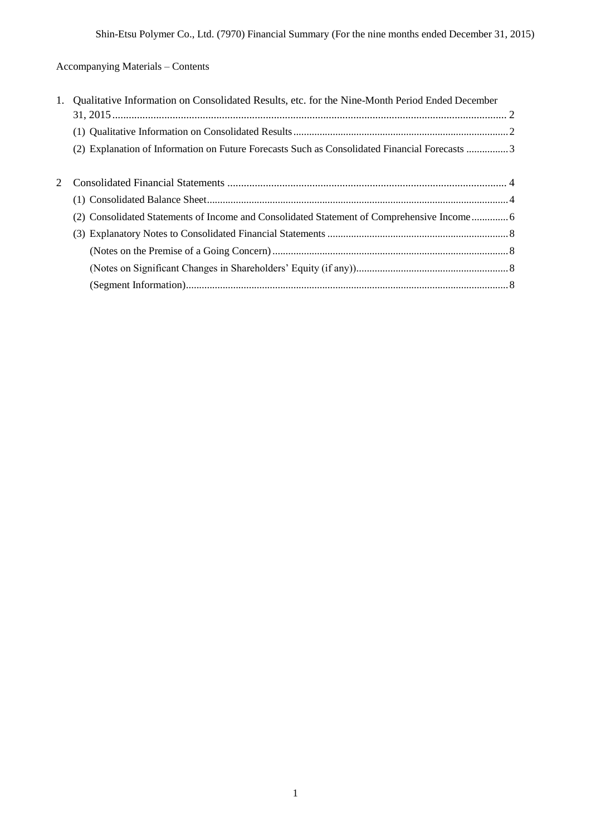Accompanying Materials – Contents

| 1. | Qualitative Information on Consolidated Results, etc. for the Nine-Month Period Ended December |  |
|----|------------------------------------------------------------------------------------------------|--|
|    |                                                                                                |  |
|    | (2) Explanation of Information on Future Forecasts Such as Consolidated Financial Forecasts 3  |  |
|    |                                                                                                |  |
|    |                                                                                                |  |
|    |                                                                                                |  |
|    | (2) Consolidated Statements of Income and Consolidated Statement of Comprehensive Income       |  |
|    |                                                                                                |  |
|    |                                                                                                |  |
|    |                                                                                                |  |
|    |                                                                                                |  |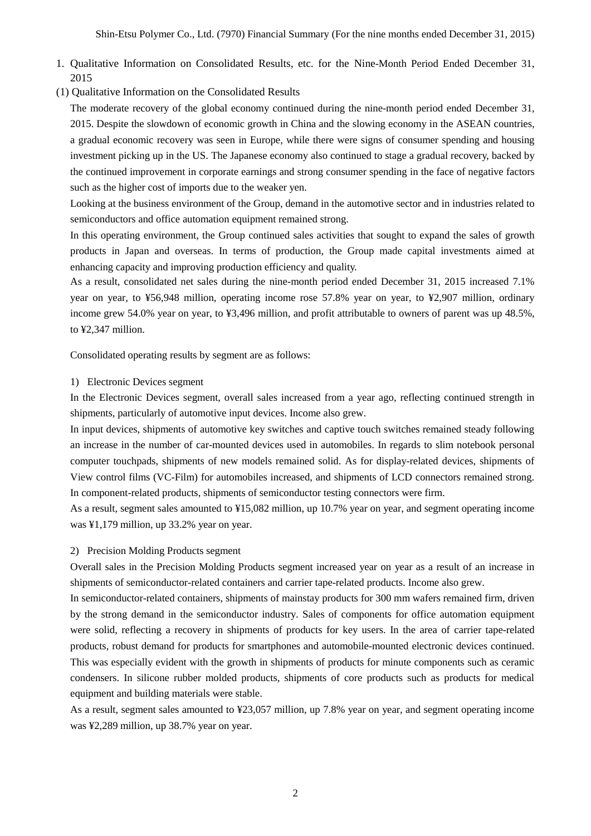- 1. Qualitative Information on Consolidated Results, etc. for the Nine-Month Period Ended December 31, 2015
- (1) Qualitative Information on the Consolidated Results

The moderate recovery of the global economy continued during the nine-month period ended December 31, 2015. Despite the slowdown of economic growth in China and the slowing economy in the ASEAN countries, a gradual economic recovery was seen in Europe, while there were signs of consumer spending and housing investment picking up in the US. The Japanese economy also continued to stage a gradual recovery, backed by the continued improvement in corporate earnings and strong consumer spending in the face of negative factors such as the higher cost of imports due to the weaker yen.

Looking at the business environment of the Group, demand in the automotive sector and in industries related to semiconductors and office automation equipment remained strong.

In this operating environment, the Group continued sales activities that sought to expand the sales of growth products in Japan and overseas. In terms of production, the Group made capital investments aimed at enhancing capacity and improving production efficiency and quality.

As a result, consolidated net sales during the nine-month period ended December 31, 2015 increased 7.1% year on year, to ¥56,948 million, operating income rose 57.8% year on year, to ¥2,907 million, ordinary income grew 54.0% year on year, to ¥3,496 million, and profit attributable to owners of parent was up 48.5%, to ¥2,347 million.

Consolidated operating results by segment are as follows:

1) Electronic Devices segment

In the Electronic Devices segment, overall sales increased from a year ago, reflecting continued strength in shipments, particularly of automotive input devices. Income also grew.

In input devices, shipments of automotive key switches and captive touch switches remained steady following an increase in the number of car-mounted devices used in automobiles. In regards to slim notebook personal computer touchpads, shipments of new models remained solid. As for display-related devices, shipments of View control films (VC-Film) for automobiles increased, and shipments of LCD connectors remained strong. In component-related products, shipments of semiconductor testing connectors were firm.

As a result, segment sales amounted to ¥15,082 million, up 10.7% year on year, and segment operating income was ¥1,179 million, up 33.2% year on year.

### 2) Precision Molding Products segment

Overall sales in the Precision Molding Products segment increased year on year as a result of an increase in shipments of semiconductor-related containers and carrier tape-related products. Income also grew.

In semiconductor-related containers, shipments of mainstay products for 300 mm wafers remained firm, driven by the strong demand in the semiconductor industry. Sales of components for office automation equipment were solid, reflecting a recovery in shipments of products for key users. In the area of carrier tape-related products, robust demand for products for smartphones and automobile-mounted electronic devices continued. This was especially evident with the growth in shipments of products for minute components such as ceramic condensers. In silicone rubber molded products, shipments of core products such as products for medical equipment and building materials were stable.

As a result, segment sales amounted to ¥23,057 million, up 7.8% year on year, and segment operating income was ¥2,289 million, up 38.7% year on year.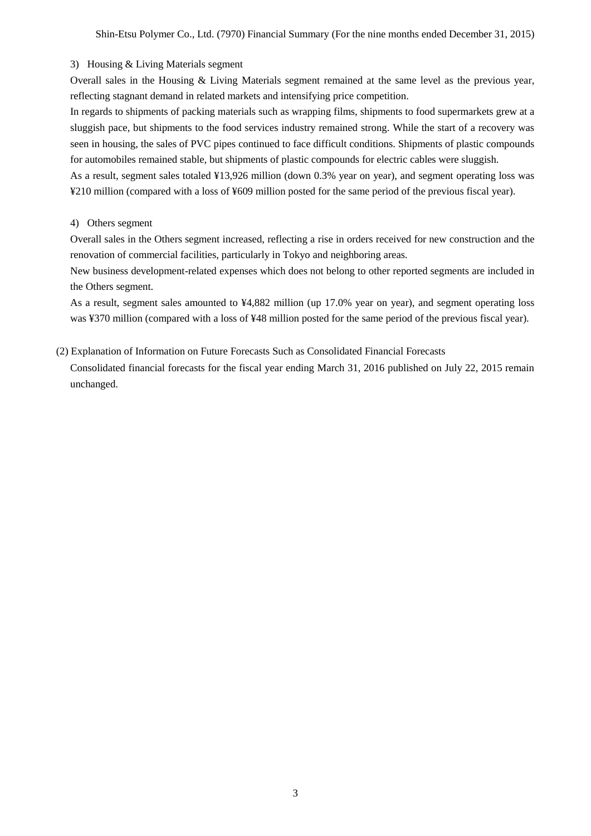Shin-Etsu Polymer Co., Ltd. (7970) Financial Summary (For the nine months ended December 31, 2015)

# 3) Housing & Living Materials segment

Overall sales in the Housing & Living Materials segment remained at the same level as the previous year, reflecting stagnant demand in related markets and intensifying price competition.

In regards to shipments of packing materials such as wrapping films, shipments to food supermarkets grew at a sluggish pace, but shipments to the food services industry remained strong. While the start of a recovery was seen in housing, the sales of PVC pipes continued to face difficult conditions. Shipments of plastic compounds for automobiles remained stable, but shipments of plastic compounds for electric cables were sluggish.

As a result, segment sales totaled ¥13,926 million (down 0.3% year on year), and segment operating loss was ¥210 million (compared with a loss of ¥609 million posted for the same period of the previous fiscal year).

# 4) Others segment

Overall sales in the Others segment increased, reflecting a rise in orders received for new construction and the renovation of commercial facilities, particularly in Tokyo and neighboring areas.

New business development-related expenses which does not belong to other reported segments are included in the Others segment.

As a result, segment sales amounted to ¥4,882 million (up 17.0% year on year), and segment operating loss was ¥370 million (compared with a loss of ¥48 million posted for the same period of the previous fiscal year).

(2) Explanation of Information on Future Forecasts Such as Consolidated Financial Forecasts

Consolidated financial forecasts for the fiscal year ending March 31, 2016 published on July 22, 2015 remain unchanged.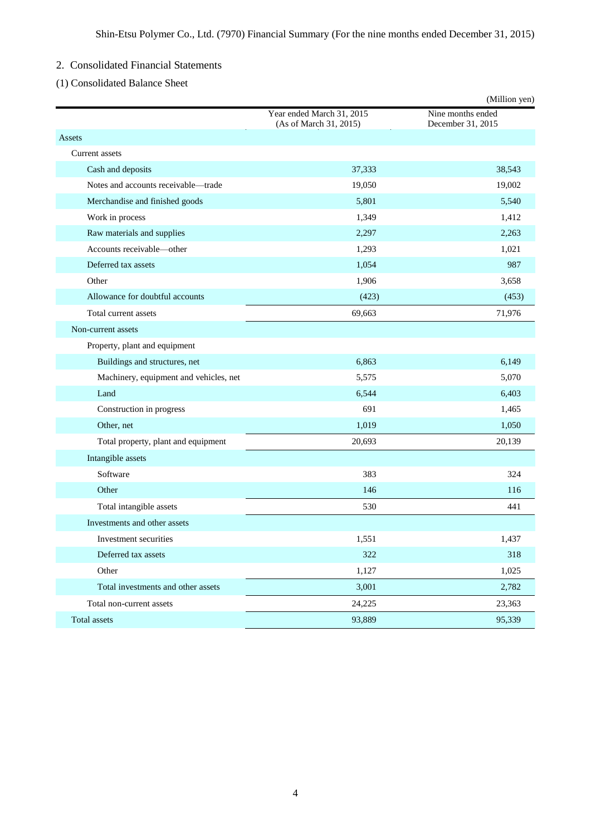# 2. Consolidated Financial Statements

# (1) Consolidated Balance Sheet

|                                        |                                                     | (Million yen)                          |
|----------------------------------------|-----------------------------------------------------|----------------------------------------|
|                                        | Year ended March 31, 2015<br>(As of March 31, 2015) | Nine months ended<br>December 31, 2015 |
| Assets                                 |                                                     |                                        |
| Current assets                         |                                                     |                                        |
| Cash and deposits                      | 37,333                                              | 38,543                                 |
| Notes and accounts receivable-trade    | 19,050                                              | 19,002                                 |
| Merchandise and finished goods         | 5,801                                               | 5,540                                  |
| Work in process                        | 1,349                                               | 1,412                                  |
| Raw materials and supplies             | 2,297                                               | 2,263                                  |
| Accounts receivable—other              | 1,293                                               | 1,021                                  |
| Deferred tax assets                    | 1,054                                               | 987                                    |
| Other                                  | 1,906                                               | 3,658                                  |
| Allowance for doubtful accounts        | (423)                                               | (453)                                  |
| Total current assets                   | 69,663                                              | 71,976                                 |
| Non-current assets                     |                                                     |                                        |
| Property, plant and equipment          |                                                     |                                        |
| Buildings and structures, net          | 6,863                                               | 6,149                                  |
| Machinery, equipment and vehicles, net | 5,575                                               | 5,070                                  |
| Land                                   | 6,544                                               | 6,403                                  |
| Construction in progress               | 691                                                 | 1,465                                  |
| Other, net                             | 1,019                                               | 1,050                                  |
| Total property, plant and equipment    | 20,693                                              | 20,139                                 |
| Intangible assets                      |                                                     |                                        |
| Software                               | 383                                                 | 324                                    |
| Other                                  | 146                                                 | 116                                    |
| Total intangible assets                | 530                                                 | 441                                    |
| Investments and other assets           |                                                     |                                        |
| Investment securities                  | 1,551                                               | 1,437                                  |
| Deferred tax assets                    | 322                                                 | 318                                    |
| Other                                  | 1,127                                               | 1,025                                  |
| Total investments and other assets     | 3,001                                               | 2,782                                  |
| Total non-current assets               | 24,225                                              | 23,363                                 |
| Total assets                           | 93,889                                              | 95,339                                 |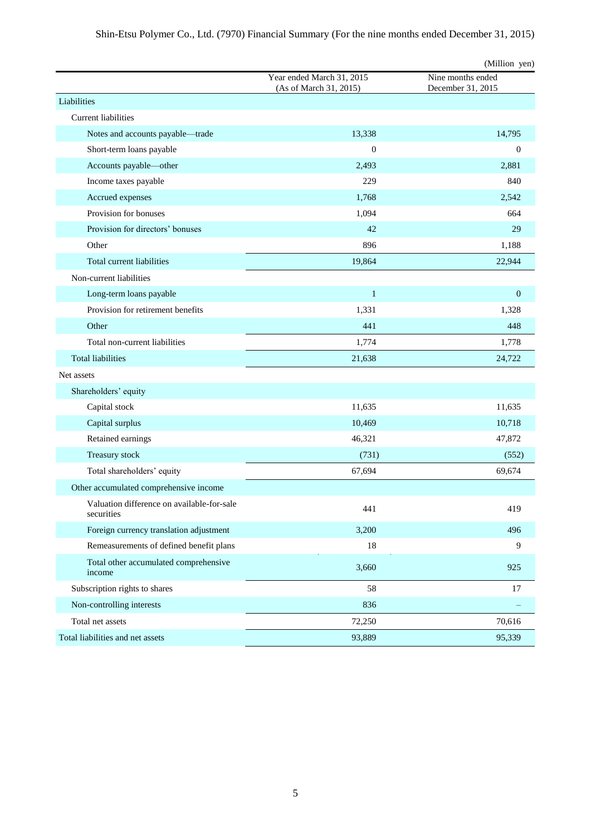|                                                          |                                                     | (Million yen)                          |
|----------------------------------------------------------|-----------------------------------------------------|----------------------------------------|
|                                                          | Year ended March 31, 2015<br>(As of March 31, 2015) | Nine months ended<br>December 31, 2015 |
| Liabilities                                              |                                                     |                                        |
| Current liabilities                                      |                                                     |                                        |
| Notes and accounts payable-trade                         | 13,338                                              | 14,795                                 |
| Short-term loans payable                                 | $\boldsymbol{0}$                                    | $\mathbf{0}$                           |
| Accounts payable-other                                   | 2,493                                               | 2,881                                  |
| Income taxes payable                                     | 229                                                 | 840                                    |
| Accrued expenses                                         | 1,768                                               | 2,542                                  |
| Provision for bonuses                                    | 1,094                                               | 664                                    |
| Provision for directors' bonuses                         | 42                                                  | 29                                     |
| Other                                                    | 896                                                 | 1,188                                  |
| Total current liabilities                                | 19,864                                              | 22,944                                 |
| Non-current liabilities                                  |                                                     |                                        |
| Long-term loans payable                                  | $\mathbf{1}$                                        | $\mathbf{0}$                           |
| Provision for retirement benefits                        | 1,331                                               | 1,328                                  |
| Other                                                    | 441                                                 | 448                                    |
| Total non-current liabilities                            | 1,774                                               | 1,778                                  |
| <b>Total liabilities</b>                                 | 21,638                                              | 24,722                                 |
| Net assets                                               |                                                     |                                        |
| Shareholders' equity                                     |                                                     |                                        |
| Capital stock                                            | 11,635                                              | 11,635                                 |
| Capital surplus                                          | 10,469                                              | 10,718                                 |
| Retained earnings                                        | 46,321                                              | 47,872                                 |
| Treasury stock                                           | (731)                                               | (552)                                  |
| Total shareholders' equity                               | 67,694                                              | 69,674                                 |
| Other accumulated comprehensive income                   |                                                     |                                        |
| Valuation difference on available-for-sale<br>securities | 441                                                 | 419                                    |
| Foreign currency translation adjustment                  | 3,200                                               | 496                                    |
| Remeasurements of defined benefit plans                  | $18\,$                                              | 9                                      |
| Total other accumulated comprehensive<br>income          | 3,660                                               | 925                                    |
| Subscription rights to shares                            | 58                                                  | 17                                     |
| Non-controlling interests                                | 836                                                 |                                        |
| Total net assets                                         | 72,250                                              | 70,616                                 |
| Total liabilities and net assets                         | 93,889                                              | 95,339                                 |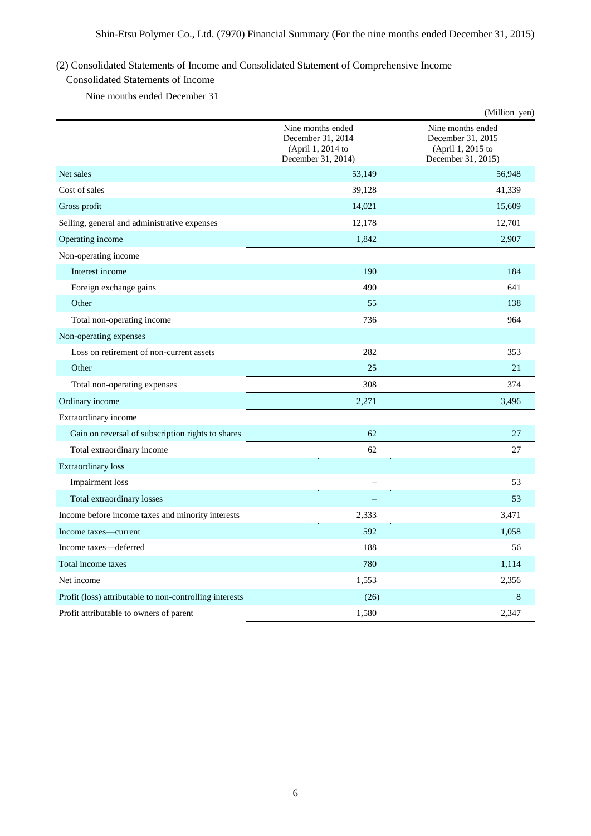# (2) Consolidated Statements of Income and Consolidated Statement of Comprehensive Income

### Consolidated Statements of Income

Nine months ended December 31

|                                                         |                                                                                   | (Million yen)                                                                     |
|---------------------------------------------------------|-----------------------------------------------------------------------------------|-----------------------------------------------------------------------------------|
|                                                         | Nine months ended<br>December 31, 2014<br>(April 1, 2014 to<br>December 31, 2014) | Nine months ended<br>December 31, 2015<br>(April 1, 2015 to<br>December 31, 2015) |
| Net sales                                               | 53,149                                                                            | 56,948                                                                            |
| Cost of sales                                           | 39,128                                                                            | 41,339                                                                            |
| Gross profit                                            | 14,021                                                                            | 15,609                                                                            |
| Selling, general and administrative expenses            | 12,178                                                                            | 12,701                                                                            |
| Operating income                                        | 1,842                                                                             | 2,907                                                                             |
| Non-operating income                                    |                                                                                   |                                                                                   |
| Interest income                                         | 190                                                                               | 184                                                                               |
| Foreign exchange gains                                  | 490                                                                               | 641                                                                               |
| Other                                                   | 55                                                                                | 138                                                                               |
| Total non-operating income                              | 736                                                                               | 964                                                                               |
| Non-operating expenses                                  |                                                                                   |                                                                                   |
| Loss on retirement of non-current assets                | 282                                                                               | 353                                                                               |
| Other                                                   | 25                                                                                | 21                                                                                |
| Total non-operating expenses                            | 308                                                                               | 374                                                                               |
| Ordinary income                                         | 2,271                                                                             | 3,496                                                                             |
| Extraordinary income                                    |                                                                                   |                                                                                   |
| Gain on reversal of subscription rights to shares       | 62                                                                                | 27                                                                                |
| Total extraordinary income                              | 62                                                                                | 27                                                                                |
| <b>Extraordinary</b> loss                               |                                                                                   |                                                                                   |
| Impairment loss                                         |                                                                                   | 53                                                                                |
| Total extraordinary losses                              |                                                                                   | 53                                                                                |
| Income before income taxes and minority interests       | 2,333                                                                             | 3,471                                                                             |
| Income taxes-current                                    | 592                                                                               | 1,058                                                                             |
| Income taxes-deferred                                   | 188                                                                               | 56                                                                                |
| Total income taxes                                      | 780                                                                               | 1,114                                                                             |
| Net income                                              | 1,553                                                                             | 2,356                                                                             |
| Profit (loss) attributable to non-controlling interests | (26)                                                                              | 8                                                                                 |
| Profit attributable to owners of parent                 | 1,580                                                                             | 2,347                                                                             |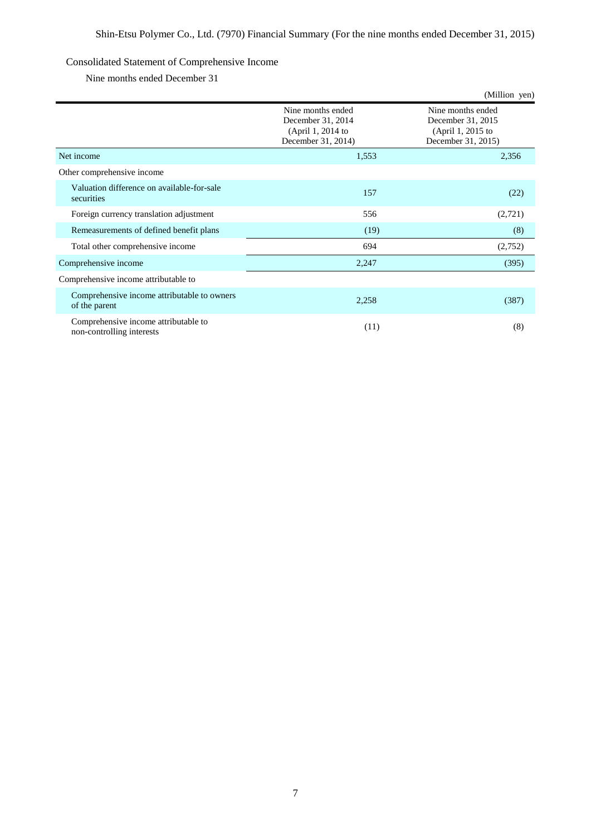# Consolidated Statement of Comprehensive Income

Nine months ended December 31

|                                                                   |                                                                                   | (Million yen)                                                                     |
|-------------------------------------------------------------------|-----------------------------------------------------------------------------------|-----------------------------------------------------------------------------------|
|                                                                   | Nine months ended<br>December 31, 2014<br>(April 1, 2014 to<br>December 31, 2014) | Nine months ended<br>December 31, 2015<br>(April 1, 2015 to<br>December 31, 2015) |
| Net income                                                        | 1,553                                                                             | 2,356                                                                             |
| Other comprehensive income                                        |                                                                                   |                                                                                   |
| Valuation difference on available-for-sale<br>securities          | 157                                                                               | (22)                                                                              |
| Foreign currency translation adjustment                           | 556                                                                               | (2,721)                                                                           |
| Remeasurements of defined benefit plans                           | (19)                                                                              | (8)                                                                               |
| Total other comprehensive income                                  | 694                                                                               | (2,752)                                                                           |
| Comprehensive income                                              | 2,247                                                                             | (395)                                                                             |
| Comprehensive income attributable to                              |                                                                                   |                                                                                   |
| Comprehensive income attributable to owners<br>of the parent      | 2,258                                                                             | (387)                                                                             |
| Comprehensive income attributable to<br>non-controlling interests | (11)                                                                              | (8)                                                                               |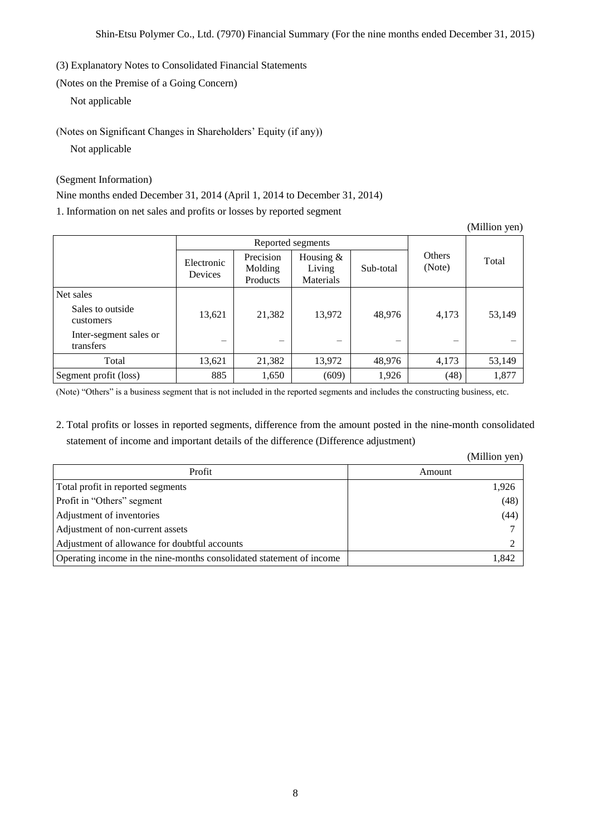(3) Explanatory Notes to Consolidated Financial Statements

(Notes on the Premise of a Going Concern)

Not applicable

(Notes on Significant Changes in Shareholders' Equity (if any))

Not applicable

(Segment Information)

Nine months ended December 31, 2014 (April 1, 2014 to December 31, 2014)

1. Information on net sales and profits or losses by reported segment

|                                     |                              |                                  |                                    |           |                         | (Million yen) |  |
|-------------------------------------|------------------------------|----------------------------------|------------------------------------|-----------|-------------------------|---------------|--|
|                                     | Reported segments            |                                  |                                    |           |                         |               |  |
|                                     | Electronic<br><b>Devices</b> | Precision<br>Molding<br>Products | Housing $&$<br>Living<br>Materials | Sub-total | <b>Others</b><br>(Note) | Total         |  |
| Net sales                           |                              |                                  |                                    |           |                         |               |  |
| Sales to outside<br>customers       | 13,621                       | 21,382                           | 13,972                             | 48.976    | 4,173                   | 53,149        |  |
| Inter-segment sales or<br>transfers |                              | -                                |                                    |           |                         |               |  |
| Total                               | 13,621                       | 21,382                           | 13,972                             | 48,976    | 4,173                   | 53,149        |  |
| Segment profit (loss)               | 885                          | 1,650                            | (609)                              | 1,926     | (48)                    | 1,877         |  |

(Note) "Others" is a business segment that is not included in the reported segments and includes the constructing business, etc.

2. Total profits or losses in reported segments, difference from the amount posted in the nine-month consolidated statement of income and important details of the difference (Difference adjustment)

(Million yen)

| Profit                                                               | Amount |
|----------------------------------------------------------------------|--------|
| Total profit in reported segments                                    | 1,926  |
| Profit in "Others" segment                                           | (48)   |
| Adjustment of inventories                                            | (44)   |
| Adjustment of non-current assets                                     |        |
| Adjustment of allowance for doubtful accounts                        |        |
| Operating income in the nine-months consolidated statement of income | 1.842  |